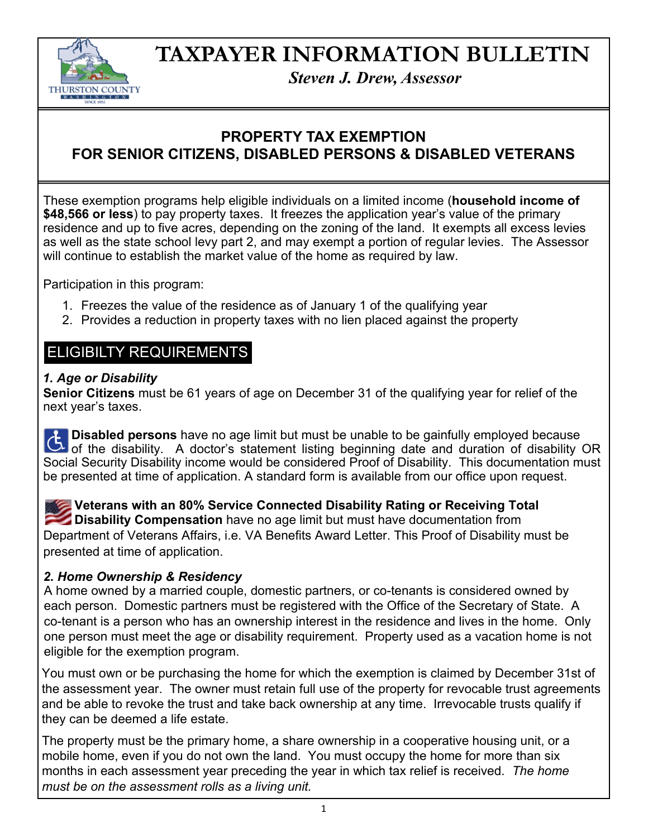

# **TAXPAYER INFORMATION BULLETIN**

*Steven J. Drew, Assessor* 

### **PROPERTY TAX EXEMPTION FOR SENIOR CITIZENS, DISABLED PERSONS & DISABLED VETERANS**

These exemption programs help eligible individuals on a limited income (**household income of \$48,566 or less**) to pay property taxes. It freezes the application year's value of the primary residence and up to five acres, depending on the zoning of the land. It exempts all excess levies as well as the state school levy part 2, and may exempt a portion of regular levies. The Assessor will continue to establish the market value of the home as required by law.

Participation in this program:

- 1. Freezes the value of the residence as of January 1 of the qualifying year
- 2. Provides a reduction in property taxes with no lien placed against the property

## ELIGIBILTY REQUIREMENTS

#### *1. Age or Disability*

**Senior Citizens** must be 61 years of age on December 31 of the qualifying year for relief of the next year's taxes.

**Disabled persons** have no age limit but must be unable to be gainfully employed because of **Disabied persons** have no age immodulities be directed by securities, the of disability OR of the disability. A doctor's statement listing beginning date and duration of disability OR Social Security Disability income would be considered Proof of Disability. This documentation must be presented at time of application. A standard form is available from our office upon request.

**Veterans with an 80% Service Connected Disability Rating or Receiving Total Disability Compensation** have no age limit but must have documentation from Department of Veterans Affairs, i.e. VA Benefits Award Letter. This Proof of Disability must be presented at time of application.

#### *2. Home Ownership & Residency*

A home owned by a married couple, domestic partners, or co-tenants is considered owned by each person. Domestic partners must be registered with the Office of the Secretary of State. A co-tenant is a person who has an ownership interest in the residence and lives in the home. Only one person must meet the age or disability requirement. Property used as a vacation home is not eligible for the exemption program.

You must own or be purchasing the home for which the exemption is claimed by December 31st of the assessment year. The owner must retain full use of the property for revocable trust agreements and be able to revoke the trust and take back ownership at any time. Irrevocable trusts qualify if they can be deemed a life estate.

The property must be the primary home, a share ownership in a cooperative housing unit, or a mobile home, even if you do not own the land. You must occupy the home for more than six months in each assessment year preceding the year in which tax relief is received. *The home must be on the assessment rolls as a living unit.* 

1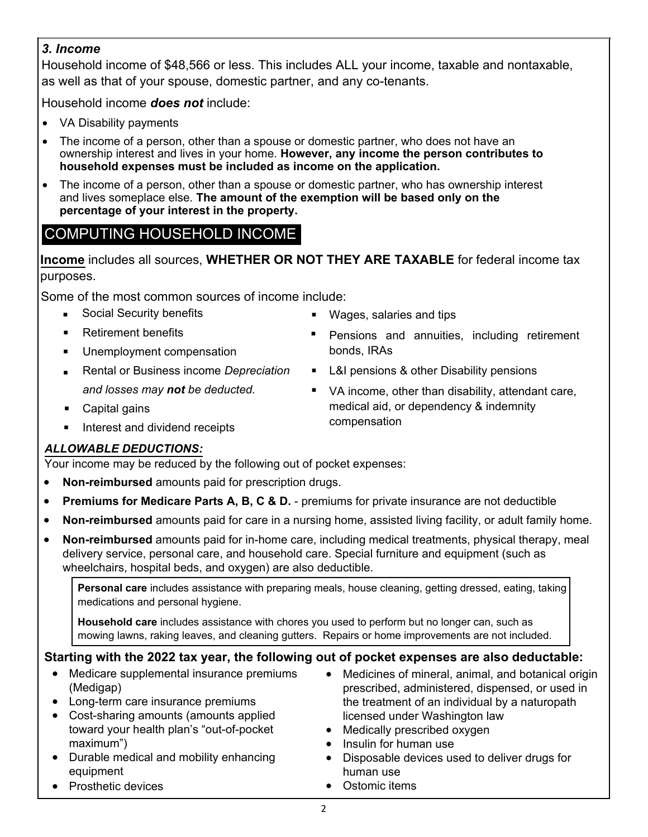#### *3. Income*

Household income of \$48,566 or less. This includes ALL your income, taxable and nontaxable, as well as that of your spouse, domestic partner, and any co-tenants.

Household income *does not* include:

- VA Disability payments
- The income of a person, other than a spouse or domestic partner, who does not have an ownership interest and lives in your home. **However, any income the person contributes to household expenses must be included as income on the application.**
- The income of a person, other than a spouse or domestic partner, who has ownership interest and lives someplace else. **The amount of the exemption will be based only on the percentage of your interest in the property.**

# COMPUTING HOUSEHOLD INCOME

**Income** includes all sources, **WHETHER OR NOT THEY ARE TAXABLE** for federal income tax purposes.

Some of the most common sources of income include:

- Social Security benefits
- Retirement benefits  $\blacksquare$
- $\blacksquare$ Unemployment compensation
- Rental or Business income *Depreciation and losses may not be deducted.*  $\blacksquare$
- Capital gains  $\blacksquare$
- Interest and dividend receipts .
- Wages, salaries and tips
- **Pensions and annuities, including retirement** bonds, IRAs
- L&I pensions & other Disability pensions
- VA income, other than disability, attendant care, medical aid, or dependency & indemnity compensation

### *ALLOWABLE DEDUCTIONS:*

Your income may be reduced by the following out of pocket expenses:

- **Non-reimbursed** amounts paid for prescription drugs.
- **Premiums for Medicare Parts A, B, C & D.**  premiums for private insurance are not deductible
- **Non-reimbursed** amounts paid for care in a nursing home, assisted living facility, or adult family home.
- **Non-reimbursed** amounts paid for in-home care, including medical treatments, physical therapy, meal delivery service, personal care, and household care. Special furniture and equipment (such as wheelchairs, hospital beds, and oxygen) are also deductible.

**Personal care** includes assistance with preparing meals, house cleaning, getting dressed, eating, taking medications and personal hygiene.

**Household care** includes assistance with chores you used to perform but no longer can, such as mowing lawns, raking leaves, and cleaning gutters. Repairs or home improvements are not included.

### **Starting with the 2022 tax year, the following out of pocket expenses are also deductable:**

- Medicare supplemental insurance premiums (Medigap)
- Long-term care insurance premiums
- Cost-sharing amounts (amounts applied toward your health plan's "out-of-pocket maximum")
- Durable medical and mobility enhancing equipment
- Prosthetic devices
- Medicines of mineral, animal, and botanical origin prescribed, administered, dispensed, or used in the treatment of an individual by a naturopath licensed under Washington law
- Medically prescribed oxygen
- Insulin for human use
- Disposable devices used to deliver drugs for human use
- Ostomic items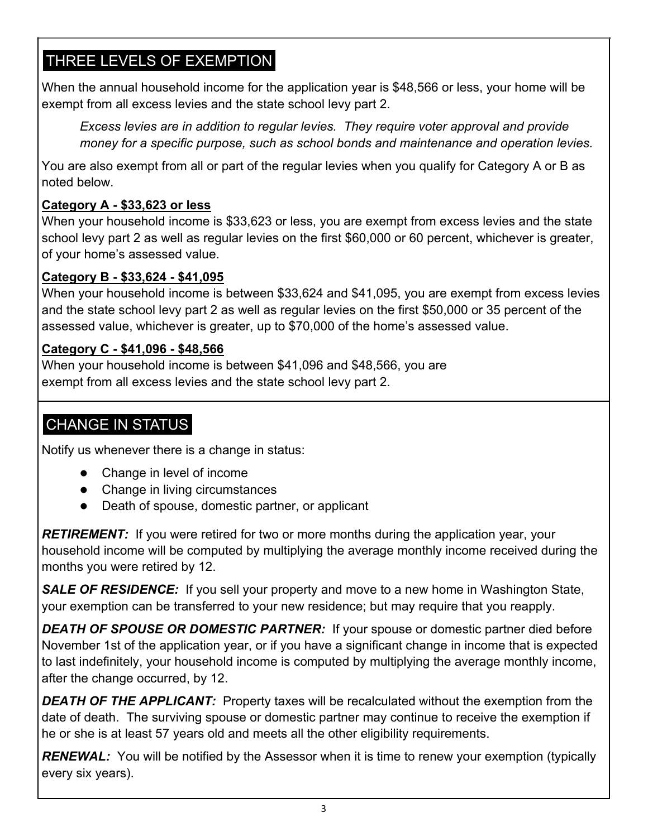# THREE LEVELS OF EXEMPTION

When the annual household income for the application year is \$48,566 or less, your home will be exempt from all excess levies and the state school levy part 2.

*Excess levies are in addition to regular levies. They require voter approval and provide money for a specific purpose, such as school bonds and maintenance and operation levies.* 

You are also exempt from all or part of the regular levies when you qualify for Category A or B as noted below.

### **Category A - \$33,623 or less**

When your household income is \$33,623 or less, you are exempt from excess levies and the state school levy part 2 as well as regular levies on the first \$60,000 or 60 percent, whichever is greater, of your home's assessed value.

### **Category B - \$33,624 - \$41,095**

When your household income is between \$33,624 and \$41,095, you are exempt from excess levies and the state school levy part 2 as well as regular levies on the first \$50,000 or 35 percent of the assessed value, whichever is greater, up to \$70,000 of the home's assessed value.

### **Category C - \$41,096 - \$48,566**

When your household income is between \$41,096 and \$48,566, you are exempt from all excess levies and the state school levy part 2.

# CHANGE IN STATUS

Notify us whenever there is a change in status:

- Change in level of income
- Change in living circumstances
- Death of spouse, domestic partner, or applicant

**RETIREMENT:** If you were retired for two or more months during the application year, your household income will be computed by multiplying the average monthly income received during the months you were retired by 12.

**SALE OF RESIDENCE:** If you sell your property and move to a new home in Washington State, your exemption can be transferred to your new residence; but may require that you reapply.

**DEATH OF SPOUSE OR DOMESTIC PARTNER:** If your spouse or domestic partner died before November 1st of the application year, or if you have a significant change in income that is expected to last indefinitely, your household income is computed by multiplying the average monthly income, after the change occurred, by 12.

**DEATH OF THE APPLICANT:** Property taxes will be recalculated without the exemption from the date of death. The surviving spouse or domestic partner may continue to receive the exemption if he or she is at least 57 years old and meets all the other eligibility requirements.

**RENEWAL:** You will be notified by the Assessor when it is time to renew your exemption (typically every six years).